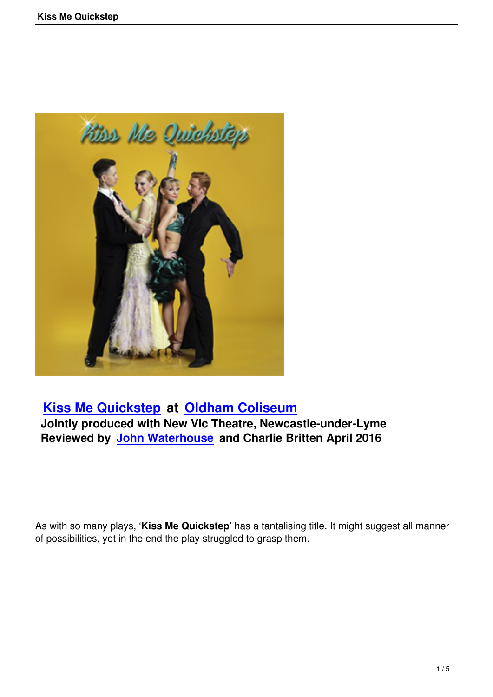

# **Kiss Me Quickstep at Oldham Coliseum Jointly produced with New Vic Theatre, Newcastle-under-Lyme**

**[Reviewed by John Wa](kiss-me-quickstep.html)ter[house and Charlie Br](http://www.coliseum.org.uk/)itten April 2016**

As with so many plays, '**Kiss Me Quickstep**' has a tantalising title. It might suggest all manner of possibilities, yet in the end the play struggled to grasp them.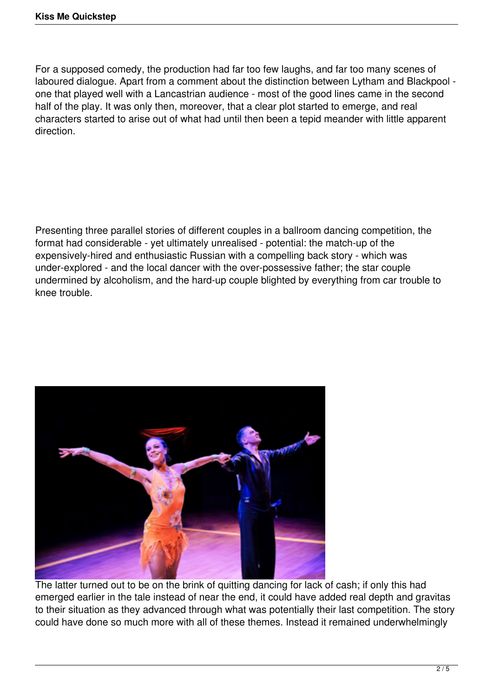For a supposed comedy, the production had far too few laughs, and far too many scenes of laboured dialogue. Apart from a comment about the distinction between Lytham and Blackpool one that played well with a Lancastrian audience - most of the good lines came in the second half of the play. It was only then, moreover, that a clear plot started to emerge, and real characters started to arise out of what had until then been a tepid meander with little apparent direction.

Presenting three parallel stories of different couples in a ballroom dancing competition, the format had considerable - yet ultimately unrealised - potential: the match-up of the expensively-hired and enthusiastic Russian with a compelling back story - which was under-explored - and the local dancer with the over-possessive father; the star couple undermined by alcoholism, and the hard-up couple blighted by everything from car trouble to knee trouble.



The latter turned out to be on the brink of quitting dancing for lack of cash; if only this had emerged earlier in the tale instead of near the end, it could have added real depth and gravitas to their situation as they advanced through what was potentially their last competition. The story could have done so much more with all of these themes. Instead it remained underwhelmingly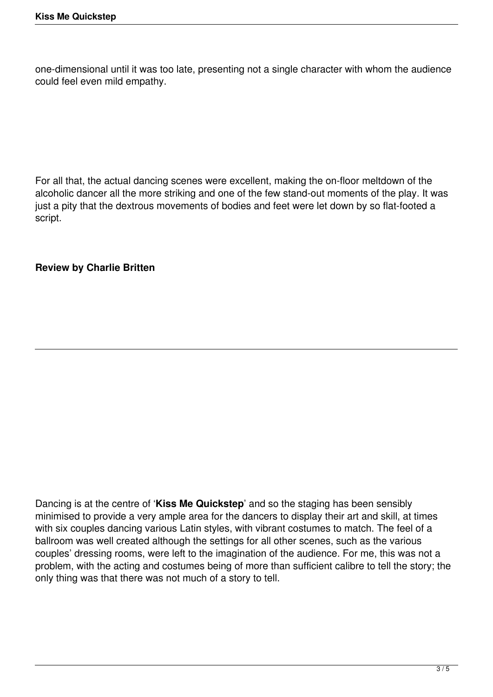one-dimensional until it was too late, presenting not a single character with whom the audience could feel even mild empathy.

For all that, the actual dancing scenes were excellent, making the on-floor meltdown of the alcoholic dancer all the more striking and one of the few stand-out moments of the play. It was just a pity that the dextrous movements of bodies and feet were let down by so flat-footed a script.

#### **Review by Charlie Britten**

Dancing is at the centre of '**Kiss Me Quickstep**' and so the staging has been sensibly minimised to provide a very ample area for the dancers to display their art and skill, at times with six couples dancing various Latin styles, with vibrant costumes to match. The feel of a ballroom was well created although the settings for all other scenes, such as the various couples' dressing rooms, were left to the imagination of the audience. For me, this was not a problem, with the acting and costumes being of more than sufficient calibre to tell the story; the only thing was that there was not much of a story to tell.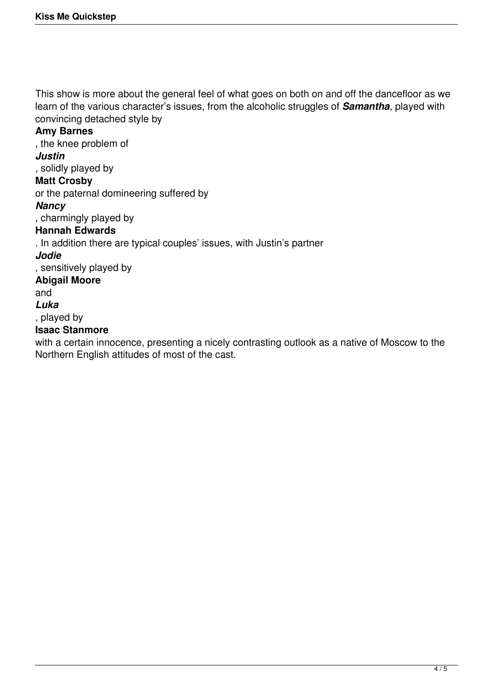This show is more about the general feel of what goes on both on and off the dancefloor as we learn of the various character's issues, from the alcoholic struggles of *Samantha*, played with convincing detached style by

### **Amy Barnes**

, the knee problem of

### *Justin*

, solidly played by

# **Matt Crosby**

or the paternal domineering suffered by

#### *Nancy*

, charmingly played by

#### **Hannah Edwards**

. In addition there are typical couples' issues, with Justin's partner

#### *Jodie*

, sensitively played by

## **Abigail Moore**

and

#### *Luka*

, played by

#### **Isaac Stanmore**

with a certain innocence, presenting a nicely contrasting outlook as a native of Moscow to the Northern English attitudes of most of the cast.